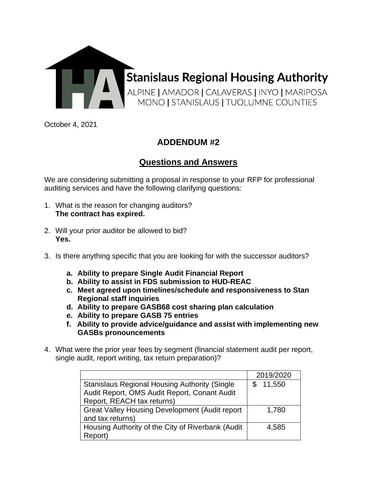

October 4, 2021

## **ADDENDUM #2**

## **Questions and Answers**

We are considering submitting a proposal in response to your RFP for professional auditing services and have the following clarifying questions:

- 1. What is the reason for changing auditors? **The contract has expired.**
- 2. Will your prior auditor be allowed to bid? **Yes.**
- 3. Is there anything specific that you are looking for with the successor auditors?
	- **a. Ability to prepare Single Audit Financial Report**
	- **b. Ability to assist in FDS submission to HUD-REAC**
	- **c. Meet agreed upon timelines/schedule and responsiveness to Stan Regional staff inquiries**
	- **d. Ability to prepare GASB68 cost sharing plan calculation**
	- **e. Ability to prepare GASB 75 entries**
	- **f. Ability to provide advice/guidance and assist with implementing new GASBs pronouncements**
- 4. What were the prior year fees by segment (financial statement audit per report, single audit, report writing, tax return preparation)?

|                                                        | 2019/2020 |
|--------------------------------------------------------|-----------|
| <b>Stanislaus Regional Housing Authority (Single</b>   | 11,550    |
| Audit Report, OMS Audit Report, Conant Audit           |           |
| Report, REACH tax returns)                             |           |
| <b>Great Valley Housing Development (Audit report)</b> | 1,780     |
| and tax returns)                                       |           |
| Housing Authority of the City of Riverbank (Audit      | 4.585     |
| Report)                                                |           |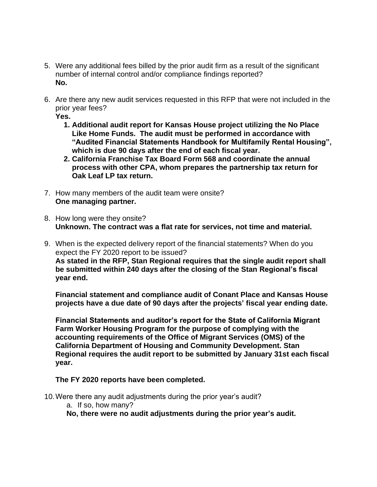- 5. Were any additional fees billed by the prior audit firm as a result of the significant number of internal control and/or compliance findings reported? **No.**
- 6. Are there any new audit services requested in this RFP that were not included in the prior year fees?

**Yes.** 

- **1. Additional audit report for Kansas House project utilizing the No Place Like Home Funds. The audit must be performed in accordance with "Audited Financial Statements Handbook for Multifamily Rental Housing", which is due 90 days after the end of each fiscal year.**
- **2. California Franchise Tax Board Form 568 and coordinate the annual process with other CPA, whom prepares the partnership tax return for Oak Leaf LP tax return.**
- 7. How many members of the audit team were onsite? **One managing partner.**
- 8. How long were they onsite? **Unknown. The contract was a flat rate for services, not time and material.**
- 9. When is the expected delivery report of the financial statements? When do you expect the FY 2020 report to be issued? **As stated in the RFP, Stan Regional requires that the single audit report shall be submitted within 240 days after the closing of the Stan Regional's fiscal year end.**

**Financial statement and compliance audit of Conant Place and Kansas House projects have a due date of 90 days after the projects' fiscal year ending date.**

**Financial Statements and auditor's report for the State of California Migrant Farm Worker Housing Program for the purpose of complying with the accounting requirements of the Office of Migrant Services (OMS) of the California Department of Housing and Community Development. Stan Regional requires the audit report to be submitted by January 31st each fiscal year.**

## **The FY 2020 reports have been completed.**

10.Were there any audit adjustments during the prior year's audit? a. If so, how many? **No, there were no audit adjustments during the prior year's audit.**